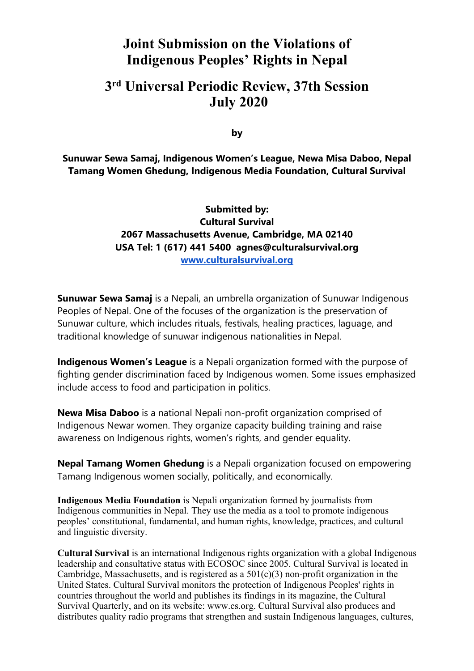# **Joint Submission on the Violations of Indigenous Peoples' Rights in Nepal**

# **3rd Universal Periodic Review, 37th Session July 2020**

**by**

**Sunuwar Sewa Samaj, Indigenous Women'<sup>s</sup> League, Newa Misa Daboo, Nepal Tamang Women Ghedung, Indigenous Media Foundation, Cultural Survival**

> **Submitted by: Cultural Survival 2067 Massachusetts Avenue, Cambridge, MA 02140 USA Tel: 1 (617) 441 5400 agnes@culturalsurvival.org [www.culturalsurvival.org](http://www.culturalsurvival.org)**

**Sunuwar Sewa Samaj** is <sup>a</sup> Nepali, an umbrella organization of Sunuwar Indigenous Peoples of Nepal. One of the focuses of the organization is the preservation of Sunuwar culture, which includes rituals, festivals, healing practices, laguage, and traditional knowledge of sunuwar indigenous nationalities in Nepal.

**Indigenous Women'<sup>s</sup> League** is <sup>a</sup> Nepali organization formed with the purpose of fighting gender discrimination faced by Indigenous women. Some issues emphasized include access to food and participation in politics.

**Newa Misa Daboo** is <sup>a</sup> national Nepali non-profit organization comprised of Indigenous Newar women. They organize capacity building training and raise awareness on Indigenous rights, women'<sup>s</sup> rights, and gender equality.

**Nepal Tamang Women Ghedung** is <sup>a</sup> Nepali organization focused on empowering Tamang Indigenous women socially, politically, and economically.

**Indigenous Media Foundation** is Nepali organization formed by journalists from Indigenous communities in Nepal. They use the media as <sup>a</sup> tool to promote indigenous peoples' constitutional, fundamental, and human rights, knowledge, practices, and cultural and linguistic diversity.

**Cultural Survival** is an international Indigenous rights organization with <sup>a</sup> global Indigenous leadership and consultative status with ECOSOC since 2005. Cultural Survival is located in Cambridge, Massachusetts, and is registered as a  $501(c)(3)$  non-profit organization in the United States. Cultural Survival monitors the protection of Indigenous Peoples' rights in countries throughout the world and publishes its findings in its magazine, the Cultural Survival Quarterly, and on its website: www.cs.org. Cultural Survival also produces and distributes quality radio programs that strengthen and sustain Indigenous languages, cultures,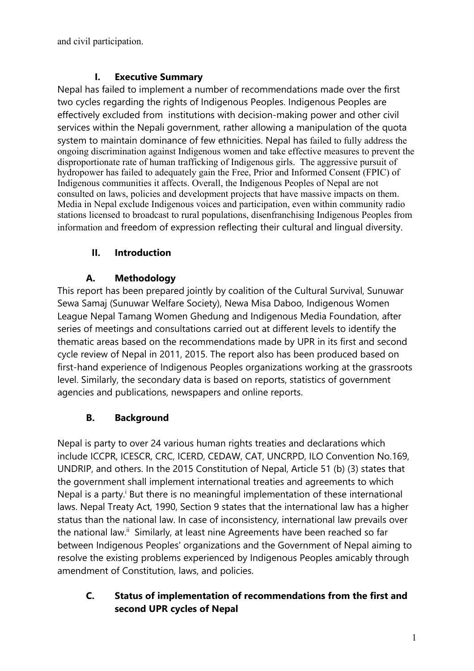and civil participation.

### **I. Executive Summary**

Nepal has failed to implement <sup>a</sup> number of recommendations made over the first two cycles regarding the rights of Indigenous Peoples. Indigenous Peoples are effectively excluded from institutions with decision-making power and other civil services within the Nepali government, rather allowing <sup>a</sup> manipulation of the quota system to maintain dominance of few ethnicities. Nepal has failed to fully address the ongoing discrimination against Indigenous women and take effective measures to preven<sup>t</sup> the disproportionate rate of human trafficking of Indigenous girls. The aggressive pursuit of hydropower has failed to adequately gain the Free, Prior and Informed Consent (FPIC) of Indigenous communities it affects. Overall, the Indigenous Peoples of Nepal are not consulted on laws, policies and development projects that have massive impacts on them. Media in Nepal exclude Indigenous voices and participation, even within community radio stations licensed to broadcast to rural populations, disenfranchising Indigenous Peoples from information and freedom of expression reflecting their cultural and lingual diversity.

### **II. Introduction**

### **A. Methodology**

This report has been prepared jointly by coalition of the Cultural Survival, Sunuwar Sewa Samaj (Sunuwar Welfare Society), Newa Misa Daboo, Indigenous Women League Nepal Tamang Women Ghedung and Indigenous Media Foundation, after series of meetings and consultations carried out at different levels to identify the thematic areas based on the recommendations made by UPR in its first and second cycle review of Nepal in 2011, 2015. The report also has been produced based on first-hand experience of Indigenous Peoples organizations working at the grassroots level. Similarly, the secondary data is based on reports, statistics of governmen<sup>t</sup> agencies and publications, newspapers and online reports.

## **B. Background**

Nepal is party to over 24 various human rights treaties and declarations which include ICCPR, ICESCR, CRC, ICERD, CEDAW, CAT, UNCRPD, ILO Convention No.169, UNDRIP, and others. In the 2015 Constitution of Nepal, Article 51 (b) (3) states that the governmen<sup>t</sup> shall implement international treaties and agreements to which Nepal is a party.<sup>i</sup> But there is no meaningful implementation of these international laws. Nepal Treaty Act, 1990, Section 9 states that the international law has <sup>a</sup> higher status than the national law. In case of inconsistency, international law prevails over the national law.<sup>ii</sup> Similarly, at least nine Agreements have been reached so far between Indigenous Peoples' organizations and the Government of Nepal aiming to resolve the existing problems experienced by Indigenous Peoples amicably through amendment of Constitution, laws, and policies.

### **C. Status of implementation of recommendations from the first and second UPR cycles of Nepal**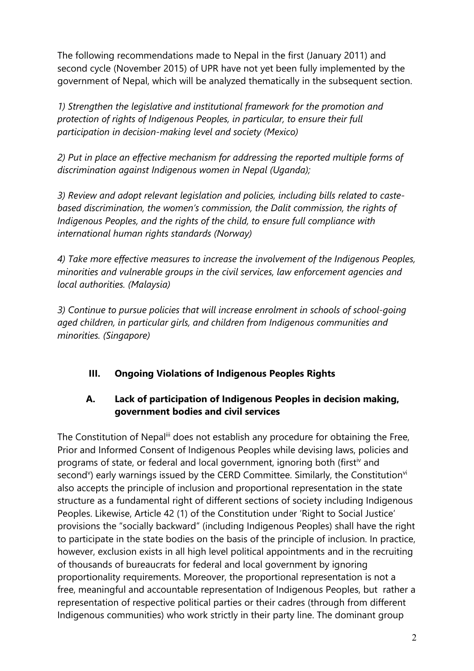The following recommendations made to Nepal in the first (January 2011) and second cycle (November 2015) of UPR have not ye<sup>t</sup> been fully implemented by the governmen<sup>t</sup> of Nepal, which will be analyzed thematically in the subsequent section.

*1) Strengthen the legislative and institutional framework for the promotion and protection of rights of Indigenous Peoples, in particular, to ensure their full participation in decision-making level and society (Mexico)*

*2) Put in place an effective mechanism for addressing the reported multiple forms of discrimination against Indigenous women in Nepal (Uganda);*

*3) Review and adopt relevant legislation and policies, including bills related to castebased discrimination, the women'<sup>s</sup> commission, the Dalit commission, the rights of Indigenous Peoples, and the rights of the child, to ensure full compliance with international human rights standards (Norway)*

*4) Take more effective measures to increase the involvement of the Indigenous Peoples, minorities and vulnerable groups in the civil services, law enforcement agencies and local authorities. (Malaysia)*

*3) Continue to pursue policies that will increase enrolment in schools of school-going aged children, in particular girls, and children from Indigenous communities and minorities. (Singapore)*

### **III. Ongoing Violations of Indigenous Peoples Rights**

### **A. Lack of participation of Indigenous Peoples in decision making, government bodies and civil services**

The Constitution of Nepal<sup>iii</sup> does not establish any procedure for obtaining the Free, Prior and Informed Consent of Indigenous Peoples while devising laws, policies and programs of state, or federal and local government, ignoring both (first<sup>iv</sup> and second<sup>v</sup>) early warnings issued by the CERD Committee. Similarly, the Constitution<sup>vi</sup> also accepts the principle of inclusion and proportional representation in the state structure as <sup>a</sup> fundamental right of different sections of society including Indigenous Peoples. Likewise, Article 42 (1) of the Constitution under 'Right to Social Justice' provisions the "socially backward" (including Indigenous Peoples) shall have the right to participate in the state bodies on the basis of the principle of inclusion. In practice, however, exclusion exists in all high level political appointments and in the recruiting of thousands of bureaucrats for federal and local governmen<sup>t</sup> by ignoring proportionality requirements. Moreover, the proportional representation is not <sup>a</sup> free, meaningful and accountable representation of Indigenous Peoples, but rather <sup>a</sup> representation of respective political parties or their cadres (through from different Indigenous communities) who work strictly in their party line. The dominant group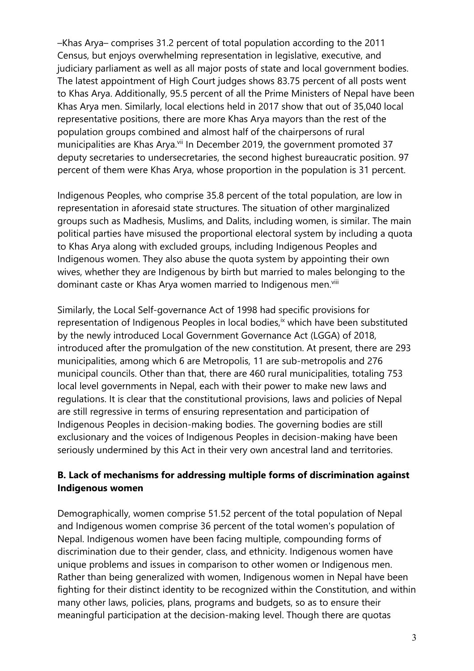–Khas Arya– comprises 31.2 percent of total population according to the 2011 Census, but enjoys overwhelming representation in legislative, executive, and judiciary parliament as well as all major posts of state and local governmen<sup>t</sup> bodies. The latest appointment of High Court judges shows 83.75 percent of all posts went to Khas Arya. Additionally, 95.5 percent of all the Prime Ministers of Nepal have been Khas Arya men. Similarly, local elections held in 2017 show that out of 35,040 local representative positions, there are more Khas Arya mayors than the rest of the population groups combined and almost half of the chairpersons of rural municipalities are Khas Arya.<sup>vii</sup> In December 2019, the government promoted 37 deputy secretaries to undersecretaries, the second highest bureaucratic position. 97 percent of them were Khas Arya, whose proportion in the population is 31 percent.

Indigenous Peoples, who comprise 35.8 percent of the total population, are low in representation in aforesaid state structures. The situation of other marginalized groups such as Madhesis, Muslims, and Dalits, including women, is similar. The main political parties have misused the proportional electoral system by including <sup>a</sup> quota to Khas Arya along with excluded groups, including Indigenous Peoples and Indigenous women. They also abuse the quota system by appointing their own wives, whether they are Indigenous by birth but married to males belonging to the dominant caste or Khas Arya women married to Indigenous men.<sup>viii</sup>

Similarly, the Local Self-governance Act of 1998 had specific provisions for representation of Indigenous Peoples in local bodies,<sup>ix</sup> which have been substituted by the newly introduced Local Government Governance Act (LGGA) of 2018, introduced after the promulgation of the new constitution. At present, there are 293 municipalities, among which 6 are Metropolis, 11 are sub-metropolis and 276 municipal councils. Other than that, there are 460 rural municipalities, totaling 753 local level governments in Nepal, each with their power to make new laws and regulations. It is clear that the constitutional provisions, laws and policies of Nepal are still regressive in terms of ensuring representation and participation of Indigenous Peoples in decision-making bodies. The governing bodies are still exclusionary and the voices of Indigenous Peoples in decision-making have been seriously undermined by this Act in their very own ancestral land and territories.

#### **B. Lack of mechanisms for addressing multiple forms of discrimination against Indigenous women**

Demographically, women comprise 51.52 percent of the total population of Nepal and Indigenous women comprise 36 percent of the total women's population of Nepal. Indigenous women have been facing multiple, compounding forms of discrimination due to their gender, class, and ethnicity. Indigenous women have unique problems and issues in comparison to other women or Indigenous men. Rather than being generalized with women, Indigenous women in Nepal have been fighting for their distinct identity to be recognized within the Constitution, and within many other laws, policies, plans, programs and budgets, so as to ensure their meaningful participation at the decision-making level. Though there are quotas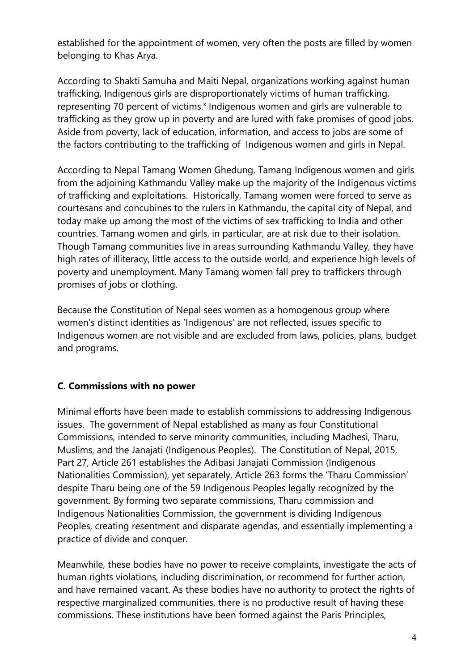established for the appointment of women, very often the posts are filled by women belonging to Khas Arya.

According to Shakti Samuha and Maiti Nepal, organizations working against human trafficking, Indigenous girls are disproportionately victims of human trafficking, representing 70 percent of victims.<sup>x</sup> Indigenous women and girls are vulnerable to trafficking as they grow up in poverty and are lured with fake promises of good jobs. Aside from poverty, lack of education, information, and access to jobs are some of the factors contributing to the trafficking of Indigenous women and girls in Nepal.

According to Nepal Tamang Women Ghedung, Tamang Indigenous women and girls from the adjoining Kathmandu Valley make up the majority of the Indigenous victims of trafficking and exploitations. Historically, Tamang women were forced to serve as courtesans and concubines to the rulers in Kathmandu, the capital city of Nepal, and today make up among the most of the victims of sex trafficking to India and other countries. Tamang women and girls, in particular, are at risk due to their isolation. Though Tamang communities live in areas surrounding Kathmandu Valley, they have high rates of illiteracy, little access to the outside world, and experience high levels of poverty and unemployment. Many Tamang women fall prey to traffickers through promises of jobs or clothing.

Because the Constitution of Nepal sees women as <sup>a</sup> homogenous group where women'<sup>s</sup> distinct identities as 'Indigenous' are not reflected, issues specific to Indigenous women are not visible and are excluded from laws, policies, plans, budget and programs.

### **C. Commissions with no power**

Minimal efforts have been made to establish commissions to addressing Indigenous issues. The governmen<sup>t</sup> of Nepal established as many as four Constitutional Commissions, intended to serve minority communities, including Madhesi, Tharu, Muslims, and the Janajati (Indigenous Peoples). The Constitution of Nepal, 2015, Part 27, Article 261 establishes the Adibasi Janajati Commission (Indigenous Nationalities Commission), ye<sup>t</sup> separately, Article 263 forms the 'Tharu Commission' despite Tharu being one of the 59 Indigenous Peoples legally recognized by the government. By forming two separate commissions, Tharu commission and Indigenous Nationalities Commission, the governmen<sup>t</sup> is dividing Indigenous Peoples, creating resentment and disparate agendas, and essentially implementing <sup>a</sup> practice of divide and conquer.

Meanwhile, these bodies have no power to receive complaints, investigate the acts of human rights violations, including discrimination, or recommend for further action, and have remained vacant. As these bodies have no authority to protect the rights of respective marginalized communities, there is no productive result of having these commissions. These institutions have been formed against the Paris Principles,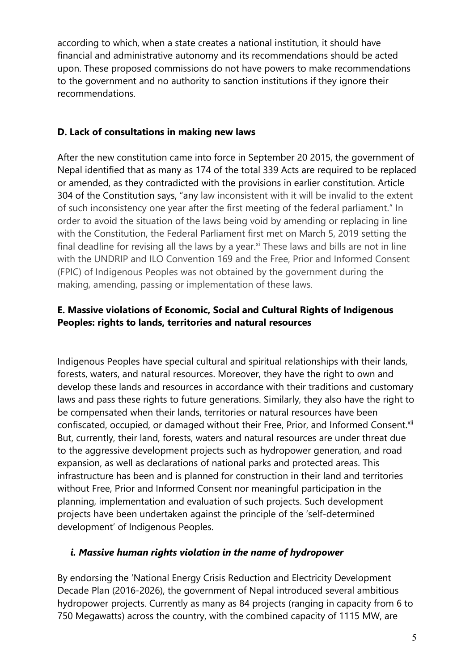according to which, when <sup>a</sup> state creates <sup>a</sup> national institution, it should have financial and administrative autonomy and its recommendations should be acted upon. These proposed commissions do not have powers to make recommendations to the governmen<sup>t</sup> and no authority to sanction institutions if they ignore their recommendations.

#### **D. Lack of consultations in making new laws**

After the new constitution came into force in September 20 2015, the governmen<sup>t</sup> of Nepal identified that as many as 174 of the total 339 Acts are required to be replaced or amended, as they contradicted with the provisions in earlier constitution. Article 304 of the Constitution says, "any law inconsistent with it will be invalid to the extent of such inconsistency one year after the first meeting of the federal parliament." In order to avoid the situation of the laws being void by amending or replacing in line with the Constitution, the Federal Parliament first met on March 5, 2019 setting the final deadline for revising all the laws by a year.<sup>xi</sup> These laws and bills are not in line with the UNDRIP and ILO Convention 169 and the Free, Prior and Informed Consent (FPIC) of Indigenous Peoples was not obtained by the governmen<sup>t</sup> during the making, amending, passing or implementation of these laws.

### **E. Massive violations of Economic, Social and Cultural Rights of Indigenous Peoples: rights to lands, territories and natural resources**

Indigenous Peoples have special cultural and spiritual relationships with their lands, forests, waters, and natural resources. Moreover, they have the right to own and develop these lands and resources in accordance with their traditions and customary laws and pass these rights to future generations. Similarly, they also have the right to be compensated when their lands, territories or natural resources have been confiscated, occupied, or damaged without their Free, Prior, and Informed Consent.<sup>xii</sup> But, currently, their land, forests, waters and natural resources are under threat due to the aggressive development projects such as hydropower generation, and road expansion, as well as declarations of national parks and protected areas. This infrastructure has been and is planned for construction in their land and territories without Free, Prior and Informed Consent nor meaningful participation in the planning, implementation and evaluation of such projects. Such development projects have been undertaken against the principle of the 'self-determined development' of Indigenous Peoples.

#### *i. Massive human rights violation in the name of hydropower*

By endorsing the 'National Energy Crisis Reduction and Electricity Development Decade Plan (2016-2026), the governmen<sup>t</sup> of Nepal introduced several ambitious hydropower projects. Currently as many as 84 projects (ranging in capacity from 6 to 750 Megawatts) across the country, with the combined capacity of 1115 MW, are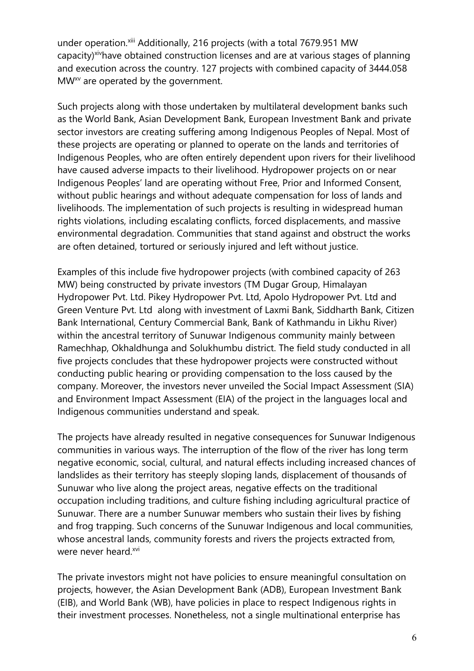under operation.<sup>xiii</sup> Additionally, 216 projects (with a total 7679.951 MW capacity)<sup>xiv</sup>have obtained construction licenses and are at various stages of planning and execution across the country. 127 projects with combined capacity of 3444.058 MW $^{\mathsf{x}\mathsf{v}}$  are operated by the government.

Such projects along with those undertaken by multilateral development banks such as the World Bank, Asian Development Bank, European Investment Bank and private sector investors are creating suffering among Indigenous Peoples of Nepal. Most of these projects are operating or planned to operate on the lands and territories of Indigenous Peoples, who are often entirely dependent upon rivers for their livelihood have caused adverse impacts to their livelihood. Hydropower projects on or near Indigenous Peoples' land are operating without Free, Prior and Informed Consent, without public hearings and without adequate compensation for loss of lands and livelihoods. The implementation of such projects is resulting in widespread human rights violations, including escalating conflicts, forced displacements, and massive environmental degradation. Communities that stand against and obstruct the works are often detained, tortured or seriously injured and left without justice.

Examples of this include five hydropower projects (with combined capacity of 263 MW) being constructed by private investors (TM Dugar Group, Himalayan Hydropower Pvt. Ltd. Pikey Hydropower Pvt. Ltd, Apolo Hydropower Pvt. Ltd and Green Venture Pvt. Ltd along with investment of Laxmi Bank, Siddharth Bank, Citizen Bank International, Century Commercial Bank, Bank of Kathmandu in Likhu River) within the ancestral territory of Sunuwar Indigenous community mainly between Ramechhap, Okhaldhunga and Solukhumbu district. The field study conducted in all five projects concludes that these hydropower projects were constructed without conducting public hearing or providing compensation to the loss caused by the company. Moreover, the investors never unveiled the Social Impact Assessment (SIA) and Environment Impact Assessment (EIA) of the project in the languages local and Indigenous communities understand and speak.

The projects have already resulted in negative consequences for Sunuwar Indigenous communities in various ways. The interruption of the flow of the river has long term negative economic, social, cultural, and natural effects including increased chances of landslides as their territory has steeply sloping lands, displacement of thousands of Sunuwar who live along the project areas, negative effects on the traditional occupation including traditions, and culture fishing including agricultural practice of Sunuwar. There are <sup>a</sup> number Sunuwar members who sustain their lives by fishing and frog trapping. Such concerns of the Sunuwar Indigenous and local communities, whose ancestral lands, community forests and rivers the projects extracted from, were never heard.<sup>xvi</sup>

The private investors might not have policies to ensure meaningful consultation on projects, however, the Asian Development Bank (ADB), European Investment Bank (EIB), and World Bank (WB), have policies in place to respect Indigenous rights in their investment processes. Nonetheless, not <sup>a</sup> single multinational enterprise has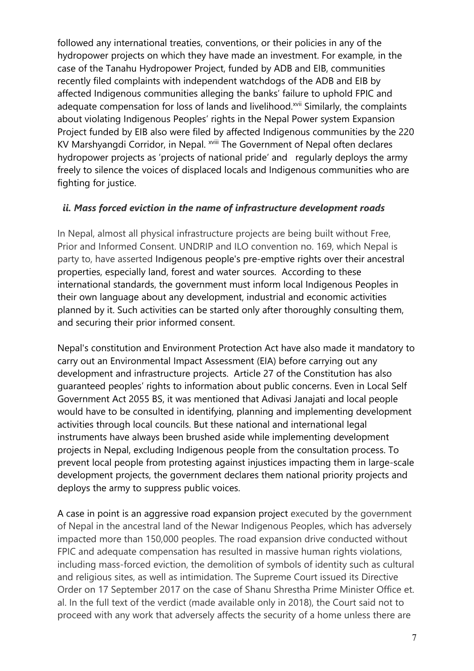followed any international treaties, conventions, or their policies in any of the hydropower projects on which they have made an investment. For example, in the case of the Tanahu Hydropower Project, funded by ADB and EIB, communities recently filed complaints with independent watchdogs of the ADB and EIB by affected Indigenous communities alleging the banks' failure to uphold FPIC and adequate compensation for loss of lands and livelihood.<sup>xvii</sup> Similarly, the complaints about violating Indigenous Peoples' rights in the Nepal Power system Expansion Project funded by EIB also were filed by affected Indigenous communities by the 220 KV Marshyangdi Corridor, in Nepal. <sup>xviii</sup> The Government of Nepal often declares hydropower projects as 'projects of national pride' and regularly deploys the army freely to silence the voices of displaced locals and Indigenous communities who are fighting for justice.

#### *ii. Mass forced eviction in the name of infrastructure development roads*

In Nepal, almost all physical infrastructure projects are being built without Free, Prior and Informed Consent. UNDRIP and ILO convention no. 169, which Nepal is party to, have asserted Indigenous people's pre-emptive rights over their ancestral properties, especially land, forest and water sources. According to these international standards, the governmen<sup>t</sup> must inform local Indigenous Peoples in their own language about any development, industrial and economic activities planned by it. Such activities can be started only after thoroughly consulting them, and securing their prior informed consent.

Nepal's constitution and Environment Protection Act have also made it mandatory to carry out an Environmental Impact Assessment (EIA) before carrying out any development and infrastructure projects. Article 27 of the Constitution has also guaranteed peoples' rights to information about public concerns. Even in Local Self Government Act 2055 BS, it was mentioned that Adivasi Janajati and local people would have to be consulted in identifying, planning and implementing development activities through local councils. But these national and international legal instruments have always been brushed aside while implementing development projects in Nepal, excluding Indigenous people from the consultation process. To prevent local people from protesting against injustices impacting them in large-scale development projects, the governmen<sup>t</sup> declares them national priority projects and deploys the army to suppress public voices.

A case in point is an aggressive road expansion project executed by the governmen<sup>t</sup> of Nepal in the ancestral land of the Newar Indigenous Peoples, which has adversely impacted more than 150,000 peoples. The road expansion drive conducted without FPIC and adequate compensation has resulted in massive human rights violations, including mass-forced eviction, the demolition of symbols of identity such as cultural and religious sites, as well as intimidation. The Supreme Court issued its Directive Order on 17 September 2017 on the case of Shanu Shrestha Prime Minister Office et. al. In the full text of the verdict (made available only in 2018), the Court said not to proceed with any work that adversely affects the security of <sup>a</sup> home unless there are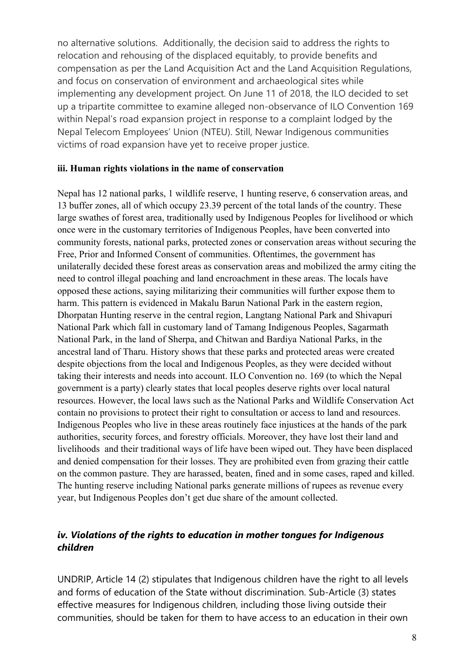no alternative solutions. Additionally, the decision said to address the rights to relocation and rehousing of the displaced equitably, to provide benefits and compensation as per the Land Acquisition Act and the Land Acquisition Regulations, and focus on conservation of environment and archaeological sites while implementing any development project. On June 11 of 2018, the ILO decided to set up <sup>a</sup> tripartite committee to examine alleged non-observance of ILO Convention 169 within Nepal'<sup>s</sup> road expansion project in response to <sup>a</sup> complaint lodged by the Nepal Telecom Employees' Union (NTEU). Still, Newar Indigenous communities victims of road expansion have ye<sup>t</sup> to receive proper justice.

#### **iii. Human rights violations in the name of conservation**

Nepal has 12 national parks, 1 wildlife reserve, 1 hunting reserve, 6 conservation areas, and 13 buffer zones, all of which occupy 23.39 percen<sup>t</sup> of the total lands of the country. These large swathes of forest area, traditionally used by Indigenous Peoples for livelihood or which once were in the customary territories of Indigenous Peoples, have been converted into community forests, national parks, protected zones or conservation areas without securing the Free, Prior and Informed Consent of communities. Oftentimes, the governmen<sup>t</sup> has unilaterally decided these forest areas as conservation areas and mobilized the army citing the need to control illegal poaching and land encroachment in these areas. The locals have opposed these actions, saying militarizing their communities will further expose them to harm. This pattern is evidenced in Makalu Barun National Park in the eastern region, Dhorpatan Hunting reserve in the central region, Langtang National Park and Shivapuri National Park which fall in customary land of Tamang Indigenous Peoples, Sagarmath National Park, in the land of Sherpa, and Chitwan and Bardiya National Parks, in the ancestral land of Tharu. History shows that these parks and protected areas were created despite objections from the local and Indigenous Peoples, as they were decided without taking their interests and needs into account. ILO Convention no. 169 (to which the Nepal governmen<sup>t</sup> is <sup>a</sup> party) clearly states that local peoples deserve rights over local natural resources. However, the local laws such as the National Parks and Wildlife Conservation Act contain no provisions to protect their right to consultation or access to land and resources. Indigenous Peoples who live in these areas routinely face injustices at the hands of the park authorities, security forces, and forestry officials. Moreover, they have lost their land and livelihoods and their traditional ways of life have been wiped out. They have been displaced and denied compensation for their losses. They are prohibited even from grazing their cattle on the common pasture. They are harassed, beaten, fined and in some cases, raped and killed. The hunting reserve including National parks generate millions of rupees as revenue every year, but Indigenous Peoples don'<sup>t</sup> ge<sup>t</sup> due share of the amount collected.

#### *iv. Violations of the rights to education in mother tongues for Indigenous children*

UNDRIP, Article 14 (2) stipulates that Indigenous children have the right to all levels and forms of education of the State without discrimination. Sub-Article (3) states effective measures for Indigenous children, including those living outside their communities, should be taken for them to have access to an education in their own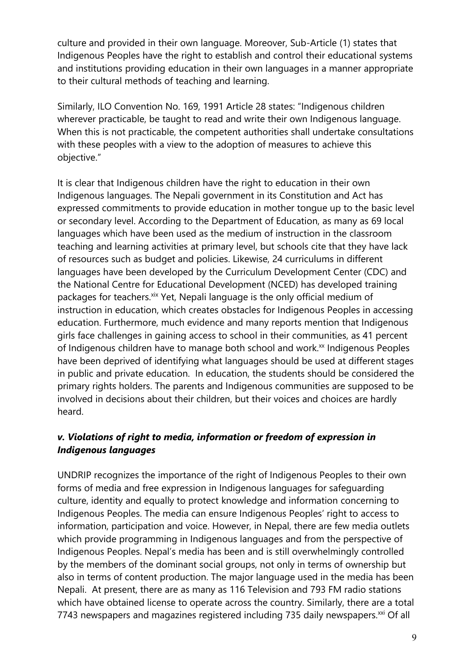culture and provided in their own language. Moreover, Sub-Article (1) states that Indigenous Peoples have the right to establish and control their educational systems and institutions providing education in their own languages in <sup>a</sup> manner appropriate to their cultural methods of teaching and learning.

Similarly, ILO Convention No. 169, 1991 Article 28 states: "Indigenous children wherever practicable, be taught to read and write their own Indigenous language. When this is not practicable, the competent authorities shall undertake consultations with these peoples with <sup>a</sup> view to the adoption of measures to achieve this objective."

It is clear that Indigenous children have the right to education in their own Indigenous languages. The Nepali governmen<sup>t</sup> in its Constitution and Act has expressed commitments to provide education in mother tongue up to the basic level or secondary level. According to the Department of Education, as many as 69 local languages which have been used as the medium of instruction in the classroom teaching and learning activities at primary level, but schools cite that they have lack of resources such as budget and policies. Likewise, 24 curriculums in different languages have been developed by the Curriculum Development Center (CDC) and the National Centre for Educational Development (NCED) has developed training packages for teachers.<sup>xix</sup> Yet, Nepali language is the only official medium of instruction in education, which creates obstacles for Indigenous Peoples in accessing education. Furthermore, much evidence and many reports mention that Indigenous girls face challenges in gaining access to school in their communities, as 41 percent of Indigenous children have to manage both school and work.<sup>xx</sup> Indigenous Peoples have been deprived of identifying what languages should be used at different stages in public and private education. In education, the students should be considered the primary rights holders. The parents and Indigenous communities are supposed to be involved in decisions about their children, but their voices and choices are hardly heard.

### *v. Violations of right to media, information or freedom of expression in Indigenous languages*

UNDRIP recognizes the importance of the right of Indigenous Peoples to their own forms of media and free expression in Indigenous languages for safeguarding culture, identity and equally to protect knowledge and information concerning to Indigenous Peoples. The media can ensure Indigenous Peoples' right to access to information, participation and voice. However, in Nepal, there are few media outlets which provide programming in Indigenous languages and from the perspective of Indigenous Peoples. Nepal'<sup>s</sup> media has been and is still overwhelmingly controlled by the members of the dominant social groups, not only in terms of ownership but also in terms of content production. The major language used in the media has been Nepali. At present, there are as many as 116 Television and 793 FM radio stations which have obtained license to operate across the country. Similarly, there are <sup>a</sup> total 7743 newspapers and magazines registered including 735 daily newspapers. $^{\rm{xxi}}$  Of all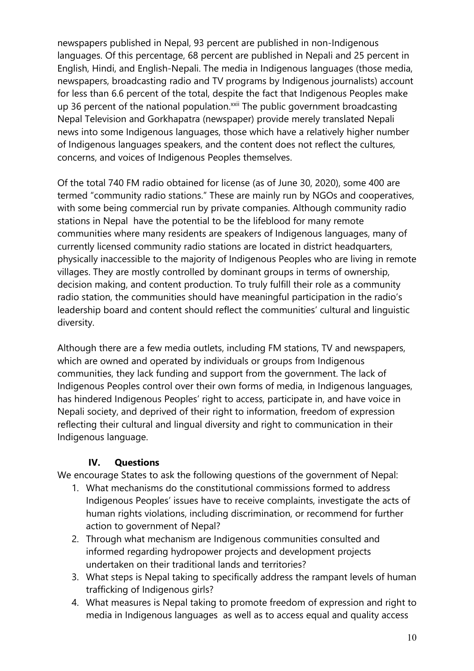newspapers published in Nepal, 93 percent are published in non-Indigenous languages. Of this percentage, 68 percent are published in Nepali and 25 percent in English, Hindi, and English-Nepali. The media in Indigenous languages (those media, newspapers, broadcasting radio and TV programs by Indigenous journalists) account for less than 6.6 percent of the total, despite the fact that Indigenous Peoples make up 36 percent of the national population.<sup>xxii</sup> The public government broadcasting Nepal Television and Gorkhapatra (newspaper) provide merely translated Nepali news into some Indigenous languages, those which have <sup>a</sup> relatively higher number of Indigenous languages speakers, and the content does not reflect the cultures, concerns, and voices of Indigenous Peoples themselves.

Of the total 740 FM radio obtained for license (as of June 30, 2020), some 400 are termed "community radio stations." These are mainly run by NGOs and cooperatives, with some being commercial run by private companies. Although community radio stations in Nepal have the potential to be the lifeblood for many remote communities where many residents are speakers of Indigenous languages, many of currently licensed community radio stations are located in district headquarters, physically inaccessible to the majority of Indigenous Peoples who are living in remote villages. They are mostly controlled by dominant groups in terms of ownership, decision making, and content production. To truly fulfill their role as <sup>a</sup> community radio station, the communities should have meaningful participation in the radio'<sup>s</sup> leadership board and content should reflect the communities' cultural and linguistic diversity.

Although there are <sup>a</sup> few media outlets, including FM stations, TV and newspapers, which are owned and operated by individuals or groups from Indigenous communities, they lack funding and support from the government. The lack of Indigenous Peoples control over their own forms of media, in Indigenous languages, has hindered Indigenous Peoples' right to access, participate in, and have voice in Nepali society, and deprived of their right to information, freedom of expression reflecting their cultural and lingual diversity and right to communication in their Indigenous language.

#### **IV. Questions**

We encourage States to ask the following questions of the governmen<sup>t</sup> of Nepal:

- 1. What mechanisms do the constitutional commissions formed to address Indigenous Peoples' issues have to receive complaints, investigate the acts of human rights violations, including discrimination, or recommend for further action to governmen<sup>t</sup> of Nepal?
- 2. Through what mechanism are Indigenous communities consulted and informed regarding hydropower projects and development projects undertaken on their traditional lands and territories?
- 3. What steps is Nepal taking to specifically address the rampant levels of human trafficking of Indigenous girls?
- 4. What measures is Nepal taking to promote freedom of expression and right to media in Indigenous languages as well as to access equal and quality access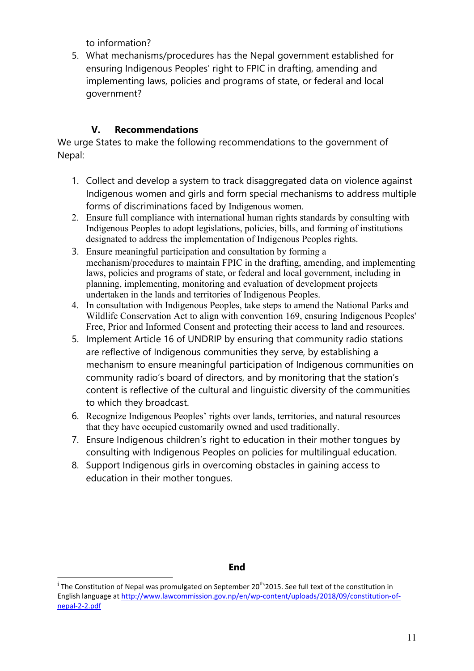to information?

5. What mechanisms/procedures has the Nepal governmen<sup>t</sup> established for ensuring Indigenous Peoples' right to FPIC in drafting, amending and implementing laws, policies and programs of state, or federal and local government?

### **V. Recommendations**

We urge States to make the following recommendations to the governmen<sup>t</sup> of Nepal:

- 1. Collect and develop <sup>a</sup> system to track disaggregated data on violence against Indigenous women and girls and form special mechanisms to address multiple forms of discriminations faced by Indigenous women.
- 2. Ensure full compliance with international human rights standards by consulting with Indigenous Peoples to adopt legislations, policies, bills, and forming of institutions designated to address the implementation of Indigenous Peoples rights.
- 3. Ensure meaningful participation and consultation by forming <sup>a</sup> mechanism/procedures to maintain FPIC in the drafting, amending, and implementing laws, policies and programs of state, or federal and local government, including in planning, implementing, monitoring and evaluation of development projects undertaken in the lands and territories of Indigenous Peoples.
- 4. In consultation with Indigenous Peoples, take steps to amend the National Parks and Wildlife Conservation Act to align with convention 169, ensuring Indigenous Peoples' Free, Prior and Informed Consent and protecting their access to land and resources.
- 5. Implement Article 16 of UNDRIP by ensuring that community radio stations are reflective of Indigenous communities they serve, by establishing <sup>a</sup> mechanism to ensure meaningful participation of Indigenous communities on community radio'<sup>s</sup> board of directors, and by monitoring that the station'<sup>s</sup> content is reflective of the cultural and linguistic diversity of the communities to which they broadcast.
- 6. Recognize Indigenous Peoples' rights over lands, territories, and natural resources that they have occupied customarily owned and used traditionally.
- 7. Ensure Indigenous children'<sup>s</sup> right to education in their mother tongues by consulting with Indigenous Peoples on policies for multilingual education.
- 8. Support Indigenous girls in overcoming obstacles in gaining access to education in their mother tongues.

#### **End**

<sup>&</sup>lt;sup>i</sup> The Constitution of Nepal was promulgated on September 20<sup>th,</sup> 2015. See full text of the constitution in English language at [http://www.lawcommission.gov.np/en/wp-content/uploads/2018/09/constitution-of](http://www.lawcommission.gov.np/en/wp-content/uploads/2018/09/constitution-of-nepal-2-2.pdf)[nepal-2-2.pdf](http://www.lawcommission.gov.np/en/wp-content/uploads/2018/09/constitution-of-nepal-2-2.pdf)